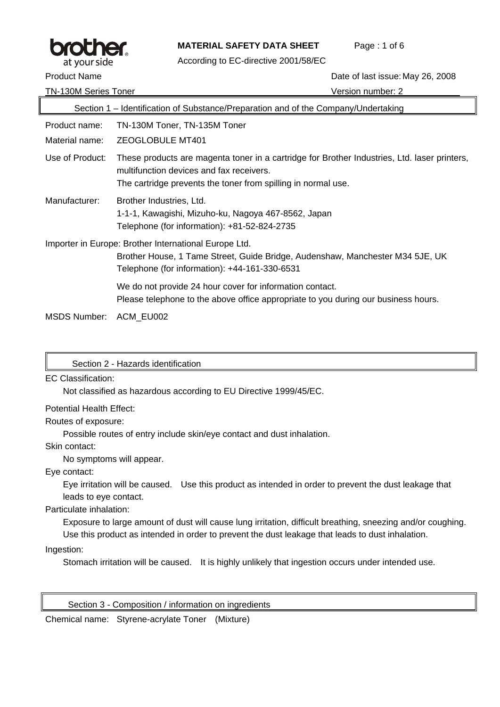

### **MATERIAL SAFETY DATA SHEET** Page : 1 of 6

According to EC-directive 2001/58/EC

Product Name **Date of last issue: May 26, 2008** 

TN-130M Series Toner Version number: 2

|                                                                                                                                                                                         | Section 1 – Identification of Substance/Preparation and of the Company/Undertaking                                                                                                                        |
|-----------------------------------------------------------------------------------------------------------------------------------------------------------------------------------------|-----------------------------------------------------------------------------------------------------------------------------------------------------------------------------------------------------------|
| Product name:                                                                                                                                                                           | TN-130M Toner, TN-135M Toner                                                                                                                                                                              |
| Material name:                                                                                                                                                                          | <b>ZEOGLOBULE MT401</b>                                                                                                                                                                                   |
| Use of Product:                                                                                                                                                                         | These products are magenta toner in a cartridge for Brother Industries, Ltd. laser printers,<br>multifunction devices and fax receivers.<br>The cartridge prevents the toner from spilling in normal use. |
| Manufacturer:                                                                                                                                                                           | Brother Industries, Ltd.<br>1-1-1, Kawagishi, Mizuho-ku, Nagoya 467-8562, Japan<br>Telephone (for information): +81-52-824-2735                                                                           |
| Importer in Europe: Brother International Europe Ltd.<br>Brother House, 1 Tame Street, Guide Bridge, Audenshaw, Manchester M34 5JE, UK<br>Telephone (for information): +44-161-330-6531 |                                                                                                                                                                                                           |
|                                                                                                                                                                                         | We do not provide 24 hour cover for information contact.<br>Please telephone to the above office appropriate to you during our business hours.                                                            |
| MSDS Number:                                                                                                                                                                            | ACM EU002                                                                                                                                                                                                 |

Section 2 - Hazards identification

EC Classification:

Not classified as hazardous according to EU Directive 1999/45/EC.

Potential Health Effect:

Routes of exposure:

Possible routes of entry include skin/eye contact and dust inhalation.

Skin contact:

No symptoms will appear.

Eye contact:

Eye irritation will be caused. Use this product as intended in order to prevent the dust leakage that leads to eye contact.

Particulate inhalation:

Exposure to large amount of dust will cause lung irritation, difficult breathing, sneezing and/or coughing. Use this product as intended in order to prevent the dust leakage that leads to dust inhalation.

Ingestion:

Stomach irritation will be caused. It is highly unlikely that ingestion occurs under intended use.

Section 3 - Composition / information on ingredients

Chemical name: Styrene-acrylate Toner (Mixture)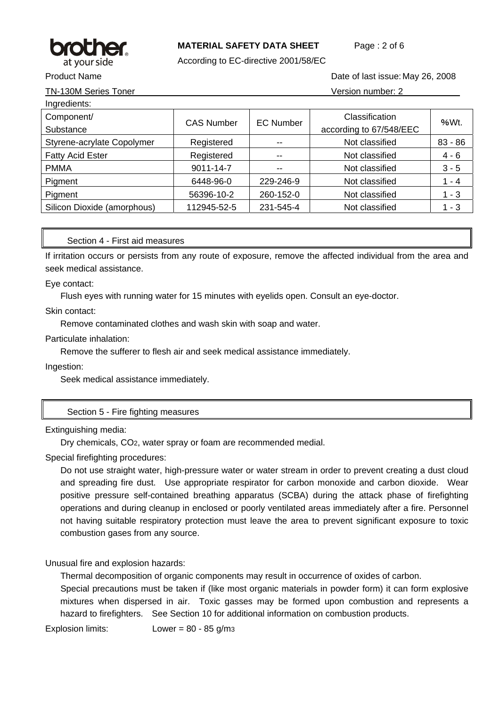

# **MATERIAL SAFETY DATA SHEET** Page : 2 of 6

According to EC-directive 2001/58/EC

TN-130M Series Toner Version number: 2

Product Name **Date of last issue: May 26, 2008** 2008

| Ingredients:                |                   |                  |                         |           |  |
|-----------------------------|-------------------|------------------|-------------------------|-----------|--|
| Component/                  | <b>CAS Number</b> | <b>EC Number</b> | Classification          | %Wt.      |  |
| Substance                   |                   |                  | according to 67/548/EEC |           |  |
| Styrene-acrylate Copolymer  | Registered        | --               | Not classified          | $83 - 86$ |  |
| <b>Fatty Acid Ester</b>     | Registered        |                  | Not classified          | $4 - 6$   |  |
| <b>PMMA</b>                 | 9011-14-7         | $- -$            | Not classified          | $3 - 5$   |  |
| Pigment                     | 6448-96-0         | 229-246-9        | Not classified          | $1 - 4$   |  |
| Pigment                     | 56396-10-2        | 260-152-0        | Not classified          | $1 - 3$   |  |
| Silicon Dioxide (amorphous) | 112945-52-5       | 231-545-4        | Not classified          | $1 - 3$   |  |

### Section 4 - First aid measures

If irritation occurs or persists from any route of exposure, remove the affected individual from the area and seek medical assistance.

Eye contact:

Flush eyes with running water for 15 minutes with eyelids open. Consult an eye-doctor.

Skin contact:

Remove contaminated clothes and wash skin with soap and water.

Particulate inhalation:

Remove the sufferer to flesh air and seek medical assistance immediately.

Ingestion:

Seek medical assistance immediately.

Section 5 - Fire fighting measures

#### Extinguishing media:

Dry chemicals, CO2, water spray or foam are recommended medial.

Special firefighting procedures:

Do not use straight water, high-pressure water or water stream in order to prevent creating a dust cloud and spreading fire dust. Use appropriate respirator for carbon monoxide and carbon dioxide. Wear positive pressure self-contained breathing apparatus (SCBA) during the attack phase of firefighting operations and during cleanup in enclosed or poorly ventilated areas immediately after a fire. Personnel not having suitable respiratory protection must leave the area to prevent significant exposure to toxic combustion gases from any source.

Unusual fire and explosion hazards:

Thermal decomposition of organic components may result in occurrence of oxides of carbon.

Special precautions must be taken if (like most organic materials in powder form) it can form explosive mixtures when dispersed in air. Toxic gasses may be formed upon combustion and represents a hazard to firefighters. See Section 10 for additional information on combustion products.

Explosion limits: Lower = 80 - 85 g/m3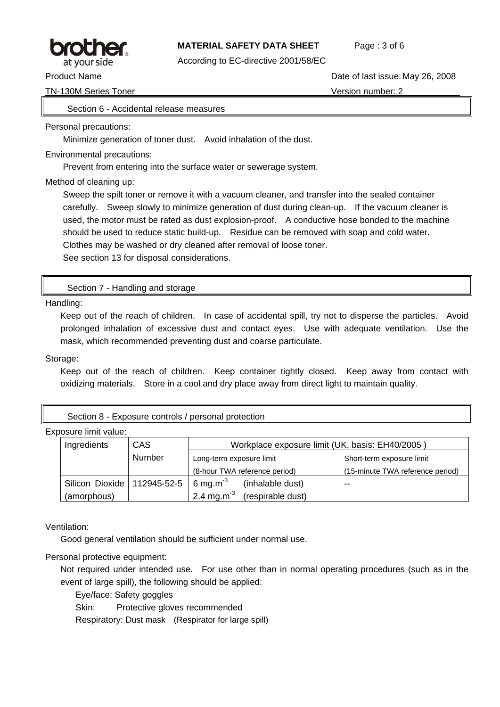

### **MATERIAL SAFETY DATA SHEET** Page : 3 of 6

According to EC-directive 2001/58/EC

TN-130M Series Toner Version number: 2

Product Name **Date of last issue: May 26, 2008** Product Name

### Section 6 - Accidental release measures

Personal precautions:

Minimize generation of toner dust. Avoid inhalation of the dust.

Environmental precautions:

Prevent from entering into the surface water or sewerage system.

Method of cleaning up:

Sweep the spilt toner or remove it with a vacuum cleaner, and transfer into the sealed container carefully. Sweep slowly to minimize generation of dust during clean-up. If the vacuum cleaner is used, the motor must be rated as dust explosion-proof. A conductive hose bonded to the machine should be used to reduce static build-up. Residue can be removed with soap and cold water. Clothes may be washed or dry cleaned after removal of loose toner.

See section 13 for disposal considerations.

### Section 7 - Handling and storage

Handling:

Keep out of the reach of children. In case of accidental spill, try not to disperse the particles. Avoid prolonged inhalation of excessive dust and contact eyes. Use with adequate ventilation. Use the mask, which recommended preventing dust and coarse particulate.

Storage:

Keep out of the reach of children. Keep container tightly closed. Keep away from contact with oxidizing materials. Store in a cool and dry place away from direct light to maintain quality.

Section 8 - Exposure controls / personal protection

Exposure limit value:

| Ingredients                   | <b>CAS</b> | Workplace exposure limit (UK, basis: EH40/2005) |                                  |  |
|-------------------------------|------------|-------------------------------------------------|----------------------------------|--|
|                               | Number     | Long-term exposure limit                        | Short-term exposure limit        |  |
|                               |            | (8-hour TWA reference period)                   | (15-minute TWA reference period) |  |
| Silicon Dioxide   112945-52-5 |            | 6 mg.m $3$<br>(inhalable dust)                  | $- -$                            |  |
| (amorphous)                   |            | 2.4 mg.m <sup>-3</sup><br>(respirable dust)     |                                  |  |

Ventilation:

Good general ventilation should be sufficient under normal use.

Personal protective equipment:

Not required under intended use. For use other than in normal operating procedures (such as in the event of large spill), the following should be applied:

Eye/face: Safety goggles

Skin: Protective gloves recommended

Respiratory: Dust mask (Respirator for large spill)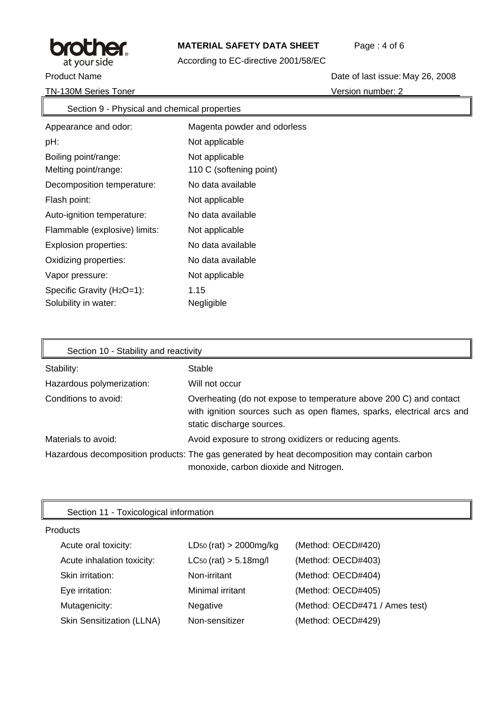

# **MATERIAL SAFETY DATA SHEET** Page: 4 of 6

According to EC-directive 2001/58/EC

TN-130M Series Toner Version number: 2

Product Name **Date of last issue: May 26, 2008** 

| Section 9 - Physical and chemical properties |                             |  |
|----------------------------------------------|-----------------------------|--|
| Appearance and odor:                         | Magenta powder and odorless |  |
| pH:                                          | Not applicable              |  |
| Boiling point/range:                         | Not applicable              |  |
| Melting point/range:                         | 110 C (softening point)     |  |
| Decomposition temperature:                   | No data available           |  |
| Flash point:                                 | Not applicable              |  |
| Auto-ignition temperature:                   | No data available           |  |
| Flammable (explosive) limits:                | Not applicable              |  |
| Explosion properties:                        | No data available           |  |
| Oxidizing properties:                        | No data available           |  |
| Vapor pressure:                              | Not applicable              |  |
| Specific Gravity (H <sub>2</sub> O=1):       | 1.15                        |  |
| Solubility in water:                         | Negligible                  |  |

| Section 10 - Stability and reactivity |                                                                                                                                                                           |  |  |
|---------------------------------------|---------------------------------------------------------------------------------------------------------------------------------------------------------------------------|--|--|
| Stability:                            | Stable                                                                                                                                                                    |  |  |
| Hazardous polymerization:             | Will not occur                                                                                                                                                            |  |  |
| Conditions to avoid:                  | Overheating (do not expose to temperature above 200 C) and contact<br>with ignition sources such as open flames, sparks, electrical arcs and<br>static discharge sources. |  |  |
| Materials to avoid:                   | Avoid exposure to strong oxidizers or reducing agents.                                                                                                                    |  |  |
|                                       | Hazardous decomposition products: The gas generated by heat decomposition may contain carbon<br>monoxide, carbon dioxide and Nitrogen.                                    |  |  |

| Section 11 - Toxicological information |                               |                                |  |
|----------------------------------------|-------------------------------|--------------------------------|--|
| Products                               |                               |                                |  |
| Acute oral toxicity:                   | $LD_{50}$ (rat) > 2000mg/kg   | (Method: OECD#420)             |  |
| Acute inhalation toxicity:             | $LC_{50}$ (rat) $> 5.18$ mg/l | (Method: OECD#403)             |  |
| Skin irritation:                       | Non-irritant                  | (Method: OECD#404)             |  |
| Eye irritation:                        | Minimal irritant              | (Method: OECD#405)             |  |
| Mutagenicity:                          | Negative                      | (Method: OECD#471 / Ames test) |  |
| <b>Skin Sensitization (LLNA)</b>       | Non-sensitizer                | (Method: OECD#429)             |  |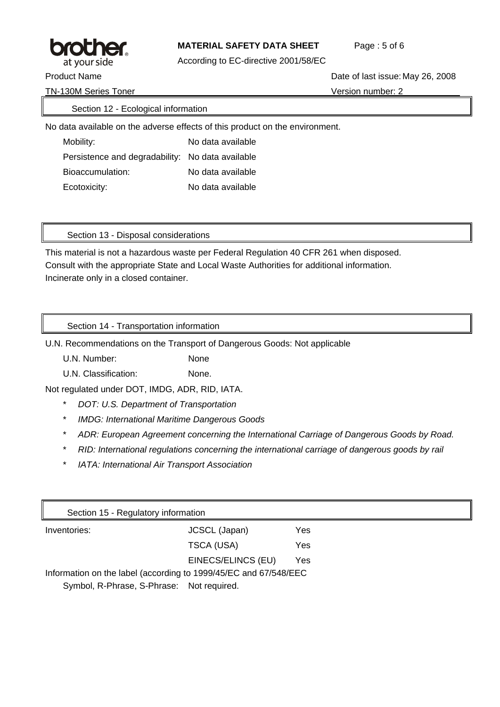

# **MATERIAL SAFETY DATA SHEET** Page : 5 of 6

According to EC-directive 2001/58/EC

TN-130M Series Toner Version number: 2

Product Name **Date of last issue: May 26, 2008** 2008

# Section 12 - Ecological information

No data available on the adverse effects of this product on the environment.

Mobility: No data available Persistence and degradability: No data available Bioaccumulation: No data available Ecotoxicity: No data available

Section 13 - Disposal considerations

This material is not a hazardous waste per Federal Regulation 40 CFR 261 when disposed. Consult with the appropriate State and Local Waste Authorities for additional information. Incinerate only in a closed container.

Section 14 - Transportation information

U.N. Recommendations on the Transport of Dangerous Goods: Not applicable

U.N. Number: None

U.N. Classification: None.

Not regulated under DOT, IMDG, ADR, RID, IATA.

- \* *DOT: U.S. Department of Transportation*
- \* *IMDG: International Maritime Dangerous Goods*
- \* *ADR: European Agreement concerning the International Carriage of Dangerous Goods by Road.*
- \* *RID: International regulations concerning the international carriage of dangerous goods by rail*
- \* *IATA: International Air Transport Association*

| Section 15 - Regulatory information                              |                    |     |
|------------------------------------------------------------------|--------------------|-----|
| Inventories:                                                     | JCSCL (Japan)      | Yes |
|                                                                  | TSCA (USA)         | Yes |
|                                                                  | EINECS/ELINCS (EU) | Yes |
| Information on the label (according to 1999/45/EC and 67/548/EEC |                    |     |
| Symbol, R-Phrase, S-Phrase: Not required.                        |                    |     |